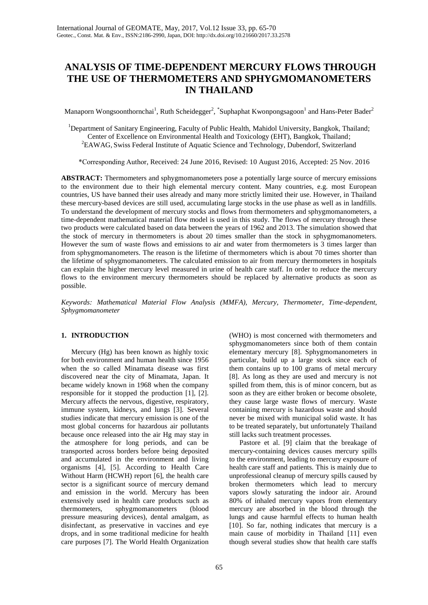# **ANALYSIS OF TIME-DEPENDENT MERCURY FLOWS THROUGH THE USE OF THERMOMETERS AND SPHYGMOMANOMETERS IN THAILAND**

Manaporn Wongsoonthornchai<sup>1</sup>, Ruth Scheidegger<sup>2</sup>, \*Suphaphat Kwonpongsagoon<sup>1</sup> and Hans-Peter Bader<sup>2</sup>

<sup>1</sup>Department of Sanitary Engineering, Faculty of Public Health, Mahidol University, Bangkok, Thailand; Center of Excellence on Environmental Health and Toxicology (EHT), Bangkok, Thailand; <sup>2</sup>EAWAG, Swiss Federal Institute of Aquatic Science and Technology, Dubendorf, Switzerland

\*Corresponding Author, Received: 24 June 2016, Revised: 10 August 2016, Accepted: 25 Nov. 2016

**ABSTRACT:** Thermometers and sphygmomanometers pose a potentially large source of mercury emissions to the environment due to their high elemental mercury content. Many countries, e.g. most European countries, US have banned their uses already and many more strictly limited their use. However, in Thailand these mercury-based devices are still used, accumulating large stocks in the use phase as well as in landfills. To understand the development of mercury stocks and flows from thermometers and sphygmomanometers, a time-dependent mathematical material flow model is used in this study. The flows of mercury through these two products were calculated based on data between the years of 1962 and 2013. The simulation showed that the stock of mercury in thermometers is about 20 times smaller than the stock in sphygmomanometers. However the sum of waste flows and emissions to air and water from thermometers is 3 times larger than from sphygmomanometers. The reason is the lifetime of thermometers which is about 70 times shorter than the lifetime of sphygmomanometers. The calculated emission to air from mercury thermometers in hospitals can explain the higher mercury level measured in urine of health care staff. In order to reduce the mercury flows to the environment mercury thermometers should be replaced by alternative products as soon as possible.

*Keywords: Mathematical Material Flow Analysis (MMFA), Mercury, Thermometer, Time-dependent, Sphygmomanometer*

# **1. INTRODUCTION**

Mercury (Hg) has been known as highly toxic for both environment and human health since 1956 when the so called Minamata disease was first discovered near the city of Minamata, Japan. It became widely known in 1968 when the company responsible for it stopped the production [1], [2]. Mercury affects the nervous, digestive, respiratory, immune system, kidneys, and lungs [3]. Several studies indicate that mercury emission is one of the most global concerns for hazardous air pollutants because once released into the air Hg may stay in the atmosphere for long periods, and can be transported across borders before being deposited and accumulated in the environment and living organisms [4], [5]. According to Health Care Without Harm (HCWH) report [6], the health care sector is a significant source of mercury demand and emission in the world. Mercury has been extensively used in health care products such as thermometers, sphygmomanometers (blood pressure measuring devices), dental amalgam, as disinfectant, as preservative in vaccines and eye drops, and in some traditional medicine for health care purposes [7]. The World Health Organization

(WHO) is most concerned with thermometers and sphygmomanometers since both of them contain elementary mercury [8]. Sphygmomanometers in particular, build up a large stock since each of them contains up to 100 grams of metal mercury [8]. As long as they are used and mercury is not spilled from them, this is of minor concern, but as soon as they are either broken or become obsolete, they cause large waste flows of mercury. Waste containing mercury is hazardous waste and should never be mixed with municipal solid waste. It has to be treated separately, but unfortunately Thailand still lacks such treatment processes.

Pastore et al. [9] claim that the breakage of mercury-containing devices causes mercury spills to the environment, leading to mercury exposure of health care staff and patients. This is mainly due to unprofessional cleanup of mercury spills caused by broken thermometers which lead to mercury vapors slowly saturating the indoor air. Around 80% of inhaled mercury vapors from elementary mercury are absorbed in the blood through the lungs and cause harmful effects to human health [10]. So far, nothing indicates that mercury is a main cause of morbidity in Thailand [11] even though several studies show that health care staffs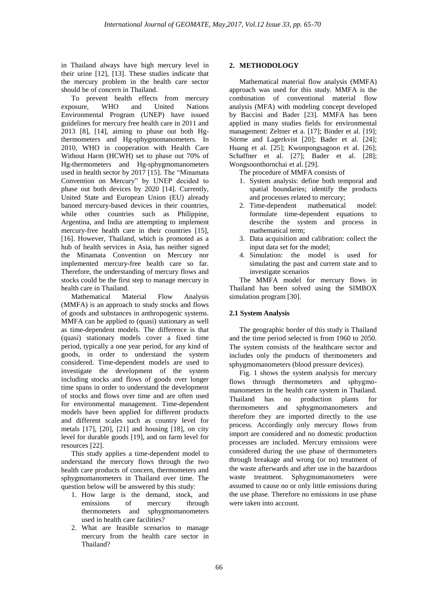in Thailand always have high mercury level in their urine [12], [13]. These studies indicate that the mercury problem in the health care sector should be of concern in Thailand.

To prevent health effects from mercury exposure, WHO and United Nations Environmental Program (UNEP) have issued guidelines for mercury free health care in 2011 and 2013 [8], [14], aiming to phase out both Hgthermometers and Hg-sphygmomanometers. In 2010, WHO in cooperation with Health Care Without Harm (HCWH) set to phase out 70% of Hg-thermometers and Hg-sphygmomanometers used in health sector by 2017 [15]. The "Minamata Convention on Mercury" by UNEP decided to phase out both devices by 2020 [14]. Currently, United State and European Union (EU) already banned mercury-based devices in their countries, while other countries such as Philippine, Argentina, and India are attempting to implement mercury-free health care in their countries [15], [16]. However, Thailand, which is promoted as a hub of health services in Asia, has neither signed the Minamata Convention on Mercury nor implemented mercury-free health care so far. Therefore, the understanding of mercury flows and stocks could be the first step to manage mercury in health care in Thailand.

Mathematical Material Flow Analysis (MMFA) is an approach to study stocks and flows of goods and substances in anthropogenic systems. MMFA can be applied to (quasi) stationary as well as time-dependent models. The difference is that (quasi) stationary models cover a fixed time period, typically a one year period, for any kind of goods, in order to understand the system considered. Time-dependent models are used to investigate the development of the system including stocks and flows of goods over longer time spans in order to understand the development of stocks and flows over time and are often used for environmental management. Time-dependent models have been applied for different products and different scales such as country level for metals [17], [20], [21] and housing [18], on city level for durable goods [19], and on farm level for resources [22].

This study applies a time-dependent model to understand the mercury flows through the two health care products of concern, thermometers and sphygmomanometers in Thailand over time. The question below will be answered by this study:

- 1. How large is the demand, stock, and emissions of mercury through thermometers and sphygmomanometers used in health care facilities?
- 2. What are feasible scenarios to manage mercury from the health care sector in Thailand?

# **2. METHODOLOGY**

Mathematical material flow analysis (MMFA) approach was used for this study. MMFA is the combination of conventional material flow analysis (MFA) with modeling concept developed by Baccini and Bader [23]. MMFA has been applied in many studies fields for environmental management: Zeltner et a. [17]; Binder et al. [19]; Sörme and Lagerkvist [20]; Bader et al. [24]; Huang et al. [25]; Kwonpongsagoon et al. [26]; Schaffner et al. [27]; Bader et al. [28]; Wongsoonthornchai et al. [29].

The procedure of MMFA consists of

- 1. System analysis: define both temporal and spatial boundaries; identify the products and processes related to mercury;
- 2. Time-dependent mathematical model: formulate time-dependent equations to describe the system and process in mathematical term;
- 3. Data acquisition and calibration: collect the input data set for the model;
- 4. Simulation: the model is used for simulating the past and current state and to investigate scenarios

The MMFA model for mercury flows in Thailand has been solved using the SIMBOX simulation program [30].

# **2.1 System Analysis**

The geographic border of this study is Thailand and the time period selected is from 1960 to 2050. The system consists of the healthcare sector and includes only the products of thermometers and sphygmomanometers (blood pressure devices).

Fig. 1 shows the system analysis for mercury flows through thermometers and sphygmomanometers in the health care system in Thailand. Thailand has no production plants for thermometers and sphygmomanometers and therefore they are imported directly to the use process. Accordingly only mercury flows from import are considered and no domestic production processes are included. Mercury emissions were considered during the use phase of thermometers through breakage and wrong (or no) treatment of the waste afterwards and after use in the hazardous waste treatment. Sphygmomanometers were assumed to cause no or only little emissions during the use phase. Therefore no emissions in use phase were taken into account.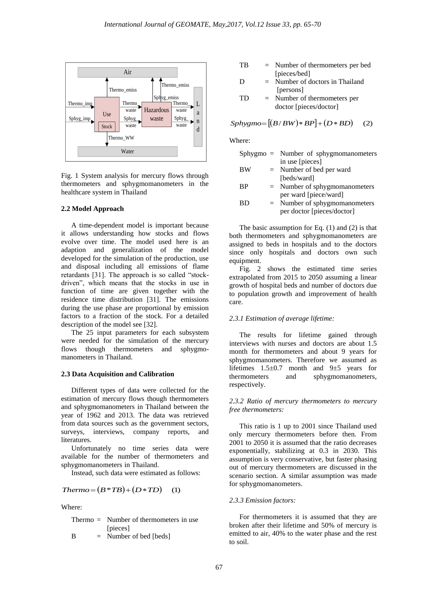

Fig. 1 System analysis for mercury flows through thermometers and sphygmomanometers in the healthcare system in Thailand

#### **2.2 Model Approach**

A time-dependent model is important because it allows understanding how stocks and flows evolve over time. The model used here is an adaption and generalization of the model developed for the simulation of the production, use and disposal including all emissions of flame retardants [31]. The approach is so called "stockdriven", which means that the stocks in use in function of time are given together with the residence time distribution [31]. The emissions during the use phase are proportional by emission factors to a fraction of the stock. For a detailed description of the model see [32].

The 25 input parameters for each subsystem were needed for the simulation of the mercury flows though thermometers and sphygmomanometers in Thailand.

#### **2.3 Data Acquisition and Calibration**

Different types of data were collected for the estimation of mercury flows though thermometers and sphygmomanometers in Thailand between the year of 1962 and 2013. The data was retrieved from data sources such as the government sectors, surveys, interviews, company reports, and literatures.

Unfortunately no time series data were available for the number of thermometers and sphygmomanometers in Thailand.

Instead, such data were estimated as follows:

$$
Thermo = (B * TB) + (D * TD) \quad (1)
$$

Where:

|   | Thermo $=$ Number of thermometers in use |
|---|------------------------------------------|
|   | [pieces]                                 |
| B | $=$ Number of bed [beds]                 |

- TB = Number of thermometers per bed [pieces/bed]
- D = Number of doctors in Thailand [persons]

$$
TD = Number of thermometers perdoctor [pieces/doctor]
$$

# $Sphygmo = [(B/BW)*BP] + (D*BD)$  (2)

Where:

|    | $Sphygmo = Number of sphygmonanometers$ |
|----|-----------------------------------------|
|    | in use [pieces]                         |
| ВW | $=$ Number of bed per ward              |
|    | [beds/ward]                             |

- BP = Number of sphygmomanometers per ward [piece/ward]
- BD = Number of sphygmomanometers per doctor [pieces/doctor]

The basic assumption for Eq.  $(1)$  and  $(2)$  is that both thermometers and sphygmomanometers are assigned to beds in hospitals and to the doctors since only hospitals and doctors own such equipment.

Fig. 2 shows the estimated time series extrapolated from 2015 to 2050 assuming a linear growth of hospital beds and number of doctors due to population growth and improvement of health care.

### *2.3.1 Estimation of average lifetime:*

The results for lifetime gained through interviews with nurses and doctors are about 1.5 month for thermometers and about 9 years for sphygmomanometers. Therefore we assumed as lifetimes  $1.5\pm0.7$  month and  $9\pm5$  years for thermometers and sphygmomanometers, respectively.

*2.3.2 Ratio of mercury thermometers to mercury free thermometers:*

This ratio is 1 up to 2001 since Thailand used only mercury thermometers before then. From 2001 to 2050 it is assumed that the ratio decreases exponentially, stabilizing at 0.3 in 2030. This assumption is very conservative, but faster phasing out of mercury thermometers are discussed in the scenario section. A similar assumption was made for sphygmomanometers.

#### *2.3.3 Emission factors:*

For thermometers it is assumed that they are broken after their lifetime and 50% of mercury is emitted to air, 40% to the water phase and the rest to soil.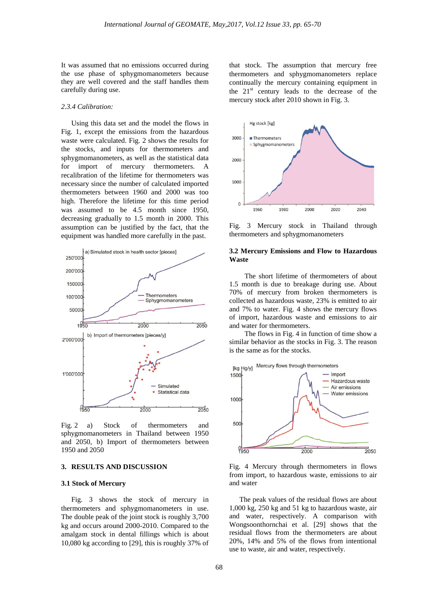It was assumed that no emissions occurred during the use phase of sphygmomanometers because they are well covered and the staff handles them carefully during use.

#### *2.3.4 Calibration:*

Using this data set and the model the flows in Fig. 1, except the emissions from the hazardous waste were calculated. Fig. 2 shows the results for the stocks, and inputs for thermometers and sphygmomanometers, as well as the statistical data for import of mercury thermometers. A recalibration of the lifetime for thermometers was necessary since the number of calculated imported thermometers between 1960 and 2000 was too high. Therefore the lifetime for this time period was assumed to be 4.5 month since 1950, decreasing gradually to 1.5 month in 2000. This assumption can be justified by the fact, that the equipment was handled more carefully in the past.



Fig. 2 a) Stock of thermometers and sphygmomanometers in Thailand between 1950 and 2050, b) Import of thermometers between 1950 and 2050

### **3. RESULTS AND DISCUSSION**

#### **3.1 Stock of Mercury**

Fig. 3 shows the stock of mercury in thermometers and sphygmomanometers in use. The double peak of the joint stock is roughly 3,700 kg and occurs around 2000-2010. Compared to the amalgam stock in dental fillings which is about 10,080 kg according to [29], this is roughly 37% of

that stock. The assumption that mercury free thermometers and sphygmomanometers replace continually the mercury containing equipment in the  $21<sup>st</sup>$  century leads to the decrease of the mercury stock after 2010 shown in Fig. 3.



Fig. 3 Mercury stock in Thailand through thermometers and sphygmomanometers

#### **3.2 Mercury Emissions and Flow to Hazardous Waste**

The short lifetime of thermometers of about 1.5 month is due to breakage during use. About 70% of mercury from broken thermometers is collected as hazardous waste, 23% is emitted to air and 7% to water. Fig. 4 shows the mercury flows of import, hazardous waste and emissions to air and water for thermometers.

The flows in Fig. 4 in function of time show a similar behavior as the stocks in Fig. 3. The reason is the same as for the stocks.



Fig. 4 Mercury through thermometers in flows from import, to hazardous waste, emissions to air and water

The peak values of the residual flows are about 1,000 kg, 250 kg and 51 kg to hazardous waste, air and water, respectively. A comparison with Wongsoonthornchai et al. [29] shows that the residual flows from the thermometers are about 20%, 14% and 5% of the flows from intentional use to waste, air and water, respectively.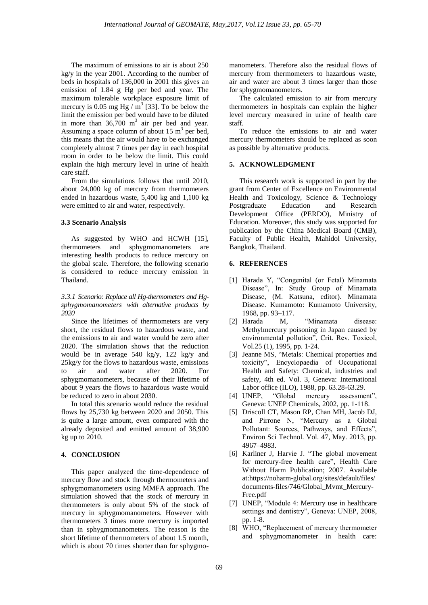The maximum of emissions to air is about 250 kg/y in the year 2001. According to the number of beds in hospitals of 136,000 in 2001 this gives an emission of 1.84 g Hg per bed and year. The maximum tolerable workplace exposure limit of mercury is 0.05 mg Hg  $/$  m<sup>3</sup> [33]. To be below the limit the emission per bed would have to be diluted in more than  $36,700 \text{ m}^3$  air per bed and year. Assuming a space column of about  $15 \text{ m}^3$  per bed, this means that the air would have to be exchanged completely almost 7 times per day in each hospital room in order to be below the limit. This could explain the high mercury level in urine of health care staff.

From the simulations follows that until 2010, about 24,000 kg of mercury from thermometers ended in hazardous waste, 5,400 kg and 1,100 kg were emitted to air and water, respectively.

#### **3.3 Scenario Analysis**

As suggested by WHO and HCWH [15], thermometers and sphygmomanometers are interesting health products to reduce mercury on the global scale. Therefore, the following scenario is considered to reduce mercury emission in Thailand.

*3.3.1 Scenario: Replace all Hg-thermometers and Hgsphygmomanometers with alternative products by 2020*

Since the lifetimes of thermometers are very short, the residual flows to hazardous waste, and the emissions to air and water would be zero after 2020. The simulation shows that the reduction would be in average 540 kg/y, 122 kg/y and 25kg/y for the flows to hazardous waste, emissions to air and water after 2020. For sphygmomanometers, because of their lifetime of about 9 years the flows to hazardous waste would be reduced to zero in about 2030.

In total this scenario would reduce the residual flows by 25,730 kg between 2020 and 2050. This is quite a large amount, even compared with the already deposited and emitted amount of 38,900 kg up to 2010.

## **4. CONCLUSION**

This paper analyzed the time-dependence of mercury flow and stock through thermometers and sphygmomanometers using MMFA approach. The simulation showed that the stock of mercury in thermometers is only about 5% of the stock of mercury in sphygmomanometers. However with thermometers 3 times more mercury is imported than in sphygmomanometers. The reason is the short lifetime of thermometers of about 1.5 month, which is about 70 times shorter than for sphygmomanometers. Therefore also the residual flows of mercury from thermometers to hazardous waste, air and water are about 3 times larger than those for sphygmomanometers.

The calculated emission to air from mercury thermometers in hospitals can explain the higher level mercury measured in urine of health care staff.

To reduce the emissions to air and water mercury thermometers should be replaced as soon as possible by alternative products.

#### **5. ACKNOWLEDGMENT**

This research work is supported in part by the grant from Center of Excellence on Environmental Health and Toxicology, Science & Technology Postgraduate Education and Research Development Office (PERDO), Ministry of Education. Moreover, this study was supported for publication by the China Medical Board (CMB), Faculty of Public Health, Mahidol University, Bangkok, Thailand.

#### **6. REFERENCES**

- [1] Harada Y, "Congenital (or Fetal) Minamata Disease", In: Study Group of Minamata Disease, (M. Katsuna, editor). Minamata Disease. Kumamoto: Kumamoto University, 1968, pp. 93–117.
- [2] Harada M, "Minamata disease: Methylmercury poisoning in Japan caused by environmental pollution", Crit. Rev. Toxicol, Vol.25 (1), 1995, pp. 1-24.
- [3] Jeanne MS, "Metals: Chemical properties and toxicity", Encyclopaedia of Occupational Health and Safety: Chemical, industries and safety, 4th ed. Vol. 3, Geneva: International Labor office (ILO), 1988, pp. 63.28-63.29.
- [4] UNEP, "Global mercury assessment", Geneva: UNEP Chemicals, 2002, pp. 1-118.
- [5] Driscoll CT, Mason RP, Chan MH, Jacob DJ, and Pirrone N, "Mercury as a Global Pollutant: Sources, Pathways, and Effects", Environ Sci Technol. Vol. 47, May. 2013, pp. 4967–4983.
- [6] Karliner J, Harvie J. "The global movement for mercury-free health care", Health Care Without Harm Publication; 2007. Available at:https://noharm-global.org/sites/default/files/ documents-files/746/Global\_Mvmt\_Mercury-Free.pdf
- [7] UNEP, "Module 4: Mercury use in healthcare settings and dentistry", Geneva: UNEP, 2008, pp. 1-8.
- [8] WHO, "Replacement of mercury thermometer and sphygmomanometer in health care: